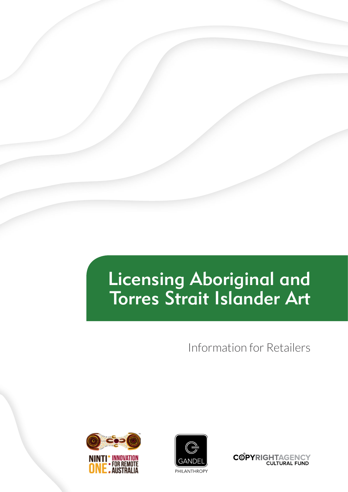# Licensing Aboriginal and Torres Strait Islander Art

Information for Retailers





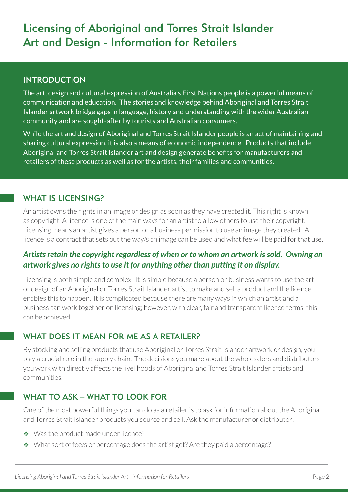# Licensing of Aboriginal and Torres Strait Islander Art and Design - Information for Retailers

# INTRODUCTION

The art, design and cultural expression of Australia's First Nations people is a powerful means of communication and education. The stories and knowledge behind Aboriginal and Torres Strait Islander artwork bridge gaps in language, history and understanding with the wider Australian community and are sought-after by tourists and Australian consumers.

While the art and design of Aboriginal and Torres Strait Islander people is an act of maintaining and sharing cultural expression, it is also a means of economic independence. Products that include Aboriginal and Torres Strait Islander art and design generate benefits for manufacturers and retailers of these products as well as for the artists, their families and communities.

# WHAT IS LICENSING?

An artist owns the rights in an image or design as soon as they have created it. This right is known as copyright. A licence is one of the main ways for an artist to allow others to use their copyright. Licensing means an artist gives a person or a business permission to use an image they created. A licence is a contract that sets out the way/s an image can be used and what fee will be paid for that use.

# *Artists retain the copyright regardless of when or to whom an artwork is sold. Owning an artwork gives no rights to use it for anything other than putting it on display.*

Licensing is both simple and complex. It is simple because a person or business wants to use the art or design of an Aboriginal or Torres Strait Islander artist to make and sell a product and the licence enables this to happen. It is complicated because there are many ways in which an artist and a business can work together on licensing; however, with clear, fair and transparent licence terms, this can be achieved.

# WHAT DOES IT MEAN FOR ME AS A RETAILER?

By stocking and selling products that use Aboriginal or Torres Strait Islander artwork or design, you play a crucial role in the supply chain. The decisions you make about the wholesalers and distributors you work with directly affects the livelihoods of Aboriginal and Torres Strait Islander artists and communities.

# WHAT TO ASK – WHAT TO LOOK FOR

One of the most powerful things you can do as a retailer is to ask for information about the Aboriginal and Torres Strait Islander products you source and sell. Ask the manufacturer or distributor:

- ◆ Was the product made under licence?
- What sort of fee/s or percentage does the artist get? Are they paid a percentage?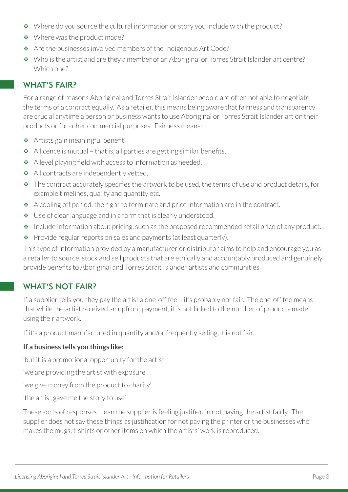- Where do you source the cultural information or story you include with the product?
- ◆ Where was the product made?
- \* Are the businesses involved members of the Indigenous Art Code?
- Who is the artist and are they a member of an Aboriginal or Torres Strait Islander art centre? Which one?

# WHAT'S FAIR?

For a range of reasons Aboriginal and Torres Strait Islander people are often not able to negotiate the terms of a contract equally. As a retailer, this means being aware that fairness and transparency are crucial anytime a person or business wants to use Aboriginal or Torres Strait Islander art on their products or for other commercial purposes. Fairness means:

- ◆ Artists gain meaningful benefit.
- $\triangle$  A licence is mutual that is, all parties are getting similar benefits.
- \* A level playing field with access to information as needed.
- All contracts are independently vetted.
- $\cdot \cdot$  The contract accurately specifies the artwork to be used, the terms of use and product details, for example timelines, quality and quantity etc.
- $\triangleleft$  A cooling off period, the right to terminate and price information are in the contract.
- ◆ Use of clear language and in a form that is clearly understood.
- $\cdot$  Include information about pricing, such as the proposed recommended retail price of any product.
- Provide regular reports on sales and payments (at least quarterly).

This type of information provided by a manufacturer or distributor aims to help and encourage you as a retailer to source, stock and sell products that are ethically and accountably produced and genuinely provide benefits to Aboriginal and Torres Strait Islander artists and communities.

# WHAT'S NOT FAIR?

If a supplier tells you they pay the artist a one-off fee – it's probably not fair. The one-off fee means that while the artist received an upfront payment, it is not linked to the number of products made using their artwork.

If it's a product manufactured in quantity and/or frequently selling, it is not fair.

#### **If a business tells you things like:**

'but it is a promotional opportunity for the artist'

'we are providing the artist with exposure'

'we give money from the product to charity'

'the artist gave me the story to use'

These sorts of responses mean the supplier is feeling justified in not paying the artist fairly. The supplier does not say these things as justification for not paying the printer or the businesses who makes the mugs, t-shirts or other items on which the artists' work is reproduced.